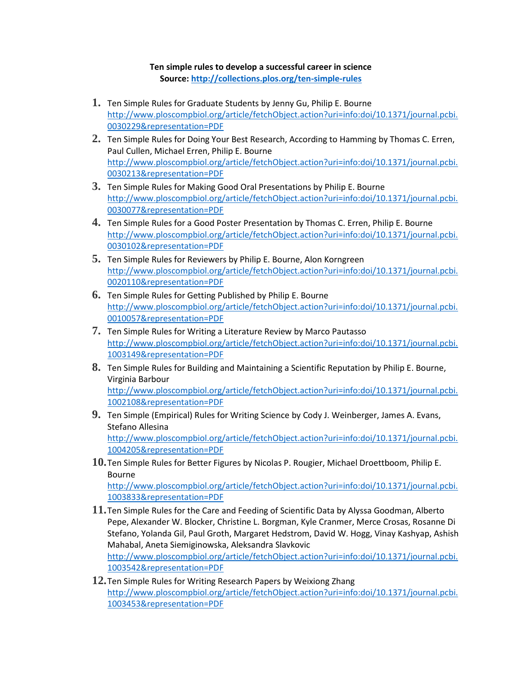## **Ten simple rules to develop a successful career in science Source:<http://collections.plos.org/ten-simple-rules>**

- **1.** Ten Simple Rules for Graduate Students by Jenny Gu, Philip E. Bourne [http://www.ploscompbiol.org/article/fetchObject.action?uri=info:doi/10.1371/journal.pcbi.](http://www.ploscompbiol.org/article/fetchObject.action?uri=info:doi/10.1371/journal.pcbi.0030229&representation=PDF) [0030229&representation=PDF](http://www.ploscompbiol.org/article/fetchObject.action?uri=info:doi/10.1371/journal.pcbi.0030229&representation=PDF)
- **2.** Ten Simple Rules for Doing Your Best Research, According to Hamming by Thomas C. Erren, Paul Cullen, Michael Erren, Philip E. Bourne [http://www.ploscompbiol.org/article/fetchObject.action?uri=info:doi/10.1371/journal.pcbi.](http://www.ploscompbiol.org/article/fetchObject.action?uri=info:doi/10.1371/journal.pcbi.0030213&representation=PDF) [0030213&representation=PDF](http://www.ploscompbiol.org/article/fetchObject.action?uri=info:doi/10.1371/journal.pcbi.0030213&representation=PDF)
- **3.** Ten Simple Rules for Making Good Oral Presentations by Philip E. Bourne [http://www.ploscompbiol.org/article/fetchObject.action?uri=info:doi/10.1371/journal.pcbi.](http://www.ploscompbiol.org/article/fetchObject.action?uri=info:doi/10.1371/journal.pcbi.0030077&representation=PDF) [0030077&representation=PDF](http://www.ploscompbiol.org/article/fetchObject.action?uri=info:doi/10.1371/journal.pcbi.0030077&representation=PDF)
- **4.** Ten Simple Rules for a Good Poster Presentation by Thomas C. Erren, Philip E. Bourne [http://www.ploscompbiol.org/article/fetchObject.action?uri=info:doi/10.1371/journal.pcbi.](http://www.ploscompbiol.org/article/fetchObject.action?uri=info:doi/10.1371/journal.pcbi.0030102&representation=PDF) [0030102&representation=PDF](http://www.ploscompbiol.org/article/fetchObject.action?uri=info:doi/10.1371/journal.pcbi.0030102&representation=PDF)
- **5.** Ten Simple Rules for Reviewers by Philip E. Bourne, Alon Korngreen [http://www.ploscompbiol.org/article/fetchObject.action?uri=info:doi/10.1371/journal.pcbi.](http://www.ploscompbiol.org/article/fetchObject.action?uri=info:doi/10.1371/journal.pcbi.0020110&representation=PDF) [0020110&representation=PDF](http://www.ploscompbiol.org/article/fetchObject.action?uri=info:doi/10.1371/journal.pcbi.0020110&representation=PDF)
- **6.** Ten Simple Rules for Getting Published by Philip E. Bourne [http://www.ploscompbiol.org/article/fetchObject.action?uri=info:doi/10.1371/journal.pcbi.](http://www.ploscompbiol.org/article/fetchObject.action?uri=info:doi/10.1371/journal.pcbi.0010057&representation=PDF) [0010057&representation=PDF](http://www.ploscompbiol.org/article/fetchObject.action?uri=info:doi/10.1371/journal.pcbi.0010057&representation=PDF)
- **7.** Ten Simple Rules for Writing a Literature Review by Marco Pautasso [http://www.ploscompbiol.org/article/fetchObject.action?uri=info:doi/10.1371/journal.pcbi.](http://www.ploscompbiol.org/article/fetchObject.action?uri=info:doi/10.1371/journal.pcbi.1003149&representation=PDF) [1003149&representation=PDF](http://www.ploscompbiol.org/article/fetchObject.action?uri=info:doi/10.1371/journal.pcbi.1003149&representation=PDF)
- **8.** Ten Simple Rules for Building and Maintaining a Scientific Reputation by Philip E. Bourne, Virginia Barbour [http://www.ploscompbiol.org/article/fetchObject.action?uri=info:doi/10.1371/journal.pcbi.](http://www.ploscompbiol.org/article/fetchObject.action?uri=info:doi/10.1371/journal.pcbi.1002108&representation=PDF) [1002108&representation=PDF](http://www.ploscompbiol.org/article/fetchObject.action?uri=info:doi/10.1371/journal.pcbi.1002108&representation=PDF)
- **9.** Ten Simple (Empirical) Rules for Writing Science by Cody J. Weinberger, James A. Evans, Stefano Allesina [http://www.ploscompbiol.org/article/fetchObject.action?uri=info:doi/10.1371/journal.pcbi.](http://www.ploscompbiol.org/article/fetchObject.action?uri=info:doi/10.1371/journal.pcbi.1004205&representation=PDF) [1004205&representation=PDF](http://www.ploscompbiol.org/article/fetchObject.action?uri=info:doi/10.1371/journal.pcbi.1004205&representation=PDF)
- **10.**Ten Simple Rules for Better Figures by Nicolas P. Rougier, Michael Droettboom, Philip E. Bourne

[http://www.ploscompbiol.org/article/fetchObject.action?uri=info:doi/10.1371/journal.pcbi.](http://www.ploscompbiol.org/article/fetchObject.action?uri=info:doi/10.1371/journal.pcbi.1003833&representation=PDF) [1003833&representation=PDF](http://www.ploscompbiol.org/article/fetchObject.action?uri=info:doi/10.1371/journal.pcbi.1003833&representation=PDF)

- **11.**Ten Simple Rules for the Care and Feeding of Scientific Data by Alyssa Goodman, Alberto Pepe, Alexander W. Blocker, Christine L. Borgman, Kyle Cranmer, Merce Crosas, Rosanne Di Stefano, Yolanda Gil, Paul Groth, Margaret Hedstrom, David W. Hogg, Vinay Kashyap, Ashish Mahabal, Aneta Siemiginowska, Aleksandra Slavkovic [http://www.ploscompbiol.org/article/fetchObject.action?uri=info:doi/10.1371/journal.pcbi.](http://www.ploscompbiol.org/article/fetchObject.action?uri=info:doi/10.1371/journal.pcbi.1003542&representation=PDF) [1003542&representation=PDF](http://www.ploscompbiol.org/article/fetchObject.action?uri=info:doi/10.1371/journal.pcbi.1003542&representation=PDF)
- **12.**Ten Simple Rules for Writing Research Papers by Weixiong Zhang [http://www.ploscompbiol.org/article/fetchObject.action?uri=info:doi/10.1371/journal.pcbi.](http://www.ploscompbiol.org/article/fetchObject.action?uri=info:doi/10.1371/journal.pcbi.1003453&representation=PDF) [1003453&representation=PDF](http://www.ploscompbiol.org/article/fetchObject.action?uri=info:doi/10.1371/journal.pcbi.1003453&representation=PDF)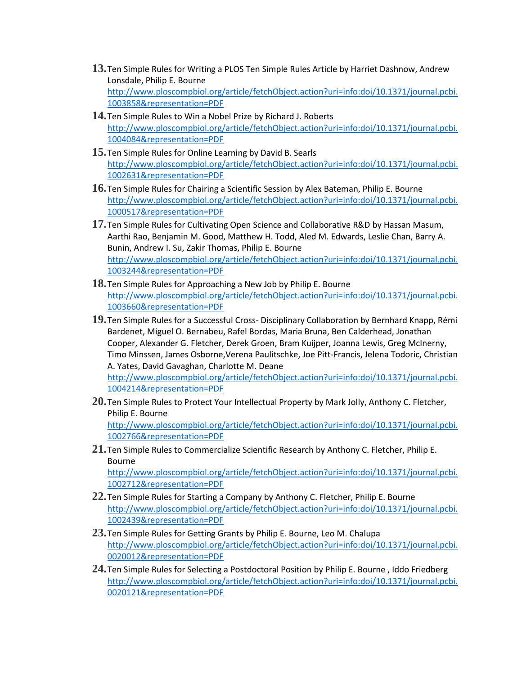- **13.**Ten Simple Rules for Writing a PLOS Ten Simple Rules Article by Harriet Dashnow, Andrew Lonsdale, Philip E. Bourne [http://www.ploscompbiol.org/article/fetchObject.action?uri=info:doi/10.1371/journal.pcbi.](http://www.ploscompbiol.org/article/fetchObject.action?uri=info:doi/10.1371/journal.pcbi.1003858&representation=PDF) [1003858&representation=PDF](http://www.ploscompbiol.org/article/fetchObject.action?uri=info:doi/10.1371/journal.pcbi.1003858&representation=PDF)
- **14.**Ten Simple Rules to Win a Nobel Prize by Richard J. Roberts [http://www.ploscompbiol.org/article/fetchObject.action?uri=info:doi/10.1371/journal.pcbi.](http://www.ploscompbiol.org/article/fetchObject.action?uri=info:doi/10.1371/journal.pcbi.1004084&representation=PDF) [1004084&representation=PDF](http://www.ploscompbiol.org/article/fetchObject.action?uri=info:doi/10.1371/journal.pcbi.1004084&representation=PDF)
- **15.**Ten Simple Rules for Online Learning by David B. Searls [http://www.ploscompbiol.org/article/fetchObject.action?uri=info:doi/10.1371/journal.pcbi.](http://www.ploscompbiol.org/article/fetchObject.action?uri=info:doi/10.1371/journal.pcbi.1002631&representation=PDF) [1002631&representation=PDF](http://www.ploscompbiol.org/article/fetchObject.action?uri=info:doi/10.1371/journal.pcbi.1002631&representation=PDF)
- **16.**Ten Simple Rules for Chairing a Scientific Session by Alex Bateman, Philip E. Bourne [http://www.ploscompbiol.org/article/fetchObject.action?uri=info:doi/10.1371/journal.pcbi.](http://www.ploscompbiol.org/article/fetchObject.action?uri=info:doi/10.1371/journal.pcbi.1000517&representation=PDF) [1000517&representation=PDF](http://www.ploscompbiol.org/article/fetchObject.action?uri=info:doi/10.1371/journal.pcbi.1000517&representation=PDF)
- **17.**Ten Simple Rules for Cultivating Open Science and Collaborative R&D by Hassan Masum, Aarthi Rao, Benjamin M. Good, Matthew H. Todd, Aled M. Edwards, Leslie Chan, Barry A. Bunin, Andrew I. Su, Zakir Thomas, Philip E. Bourne [http://www.ploscompbiol.org/article/fetchObject.action?uri=info:doi/10.1371/journal.pcbi.](http://www.ploscompbiol.org/article/fetchObject.action?uri=info:doi/10.1371/journal.pcbi.1003244&representation=PDF) [1003244&representation=PDF](http://www.ploscompbiol.org/article/fetchObject.action?uri=info:doi/10.1371/journal.pcbi.1003244&representation=PDF)
- **18.**Ten Simple Rules for Approaching a New Job by Philip E. Bourne [http://www.ploscompbiol.org/article/fetchObject.action?uri=info:doi/10.1371/journal.pcbi.](http://www.ploscompbiol.org/article/fetchObject.action?uri=info:doi/10.1371/journal.pcbi.1003660&representation=PDF) [1003660&representation=PDF](http://www.ploscompbiol.org/article/fetchObject.action?uri=info:doi/10.1371/journal.pcbi.1003660&representation=PDF)
- **19.**Ten Simple Rules for a Successful Cross- Disciplinary Collaboration by Bernhard Knapp, Rémi Bardenet, Miguel O. Bernabeu, Rafel Bordas, Maria Bruna, Ben Calderhead, Jonathan Cooper, Alexander G. Fletcher, Derek Groen, Bram Kuijper, Joanna Lewis, Greg McInerny, Timo Minssen, James Osborne,Verena Paulitschke, Joe Pitt-Francis, Jelena Todoric, Christian A. Yates, David Gavaghan, Charlotte M. Deane [http://www.ploscompbiol.org/article/fetchObject.action?uri=info:doi/10.1371/journal.pcbi.](http://www.ploscompbiol.org/article/fetchObject.action?uri=info:doi/10.1371/journal.pcbi.1004214&representation=PDF) [1004214&representation=PDF](http://www.ploscompbiol.org/article/fetchObject.action?uri=info:doi/10.1371/journal.pcbi.1004214&representation=PDF)
- **20.**Ten Simple Rules to Protect Your Intellectual Property by Mark Jolly, Anthony C. Fletcher, Philip E. Bourne [http://www.ploscompbiol.org/article/fetchObject.action?uri=info:doi/10.1371/journal.pcbi.](http://www.ploscompbiol.org/article/fetchObject.action?uri=info:doi/10.1371/journal.pcbi.1002766&representation=PDF) [1002766&representation=PDF](http://www.ploscompbiol.org/article/fetchObject.action?uri=info:doi/10.1371/journal.pcbi.1002766&representation=PDF)
- **21.**Ten Simple Rules to Commercialize Scientific Research by Anthony C. Fletcher, Philip E. Bourne

[http://www.ploscompbiol.org/article/fetchObject.action?uri=info:doi/10.1371/journal.pcbi.](http://www.ploscompbiol.org/article/fetchObject.action?uri=info:doi/10.1371/journal.pcbi.1002712&representation=PDF) [1002712&representation=PDF](http://www.ploscompbiol.org/article/fetchObject.action?uri=info:doi/10.1371/journal.pcbi.1002712&representation=PDF)

- **22.**Ten Simple Rules for Starting a Company by Anthony C. Fletcher, Philip E. Bourne [http://www.ploscompbiol.org/article/fetchObject.action?uri=info:doi/10.1371/journal.pcbi.](http://www.ploscompbiol.org/article/fetchObject.action?uri=info:doi/10.1371/journal.pcbi.1002439&representation=PDF) [1002439&representation=PDF](http://www.ploscompbiol.org/article/fetchObject.action?uri=info:doi/10.1371/journal.pcbi.1002439&representation=PDF)
- **23.**Ten Simple Rules for Getting Grants by Philip E. Bourne, Leo M. Chalupa [http://www.ploscompbiol.org/article/fetchObject.action?uri=info:doi/10.1371/journal.pcbi.](http://www.ploscompbiol.org/article/fetchObject.action?uri=info:doi/10.1371/journal.pcbi.0020012&representation=PDF) [0020012&representation=PDF](http://www.ploscompbiol.org/article/fetchObject.action?uri=info:doi/10.1371/journal.pcbi.0020012&representation=PDF)
- **24.**Ten Simple Rules for Selecting a Postdoctoral Position by Philip E. Bourne , Iddo Friedberg [http://www.ploscompbiol.org/article/fetchObject.action?uri=info:doi/10.1371/journal.pcbi.](http://www.ploscompbiol.org/article/fetchObject.action?uri=info:doi/10.1371/journal.pcbi.0020121&representation=PDF) [0020121&representation=PDF](http://www.ploscompbiol.org/article/fetchObject.action?uri=info:doi/10.1371/journal.pcbi.0020121&representation=PDF)